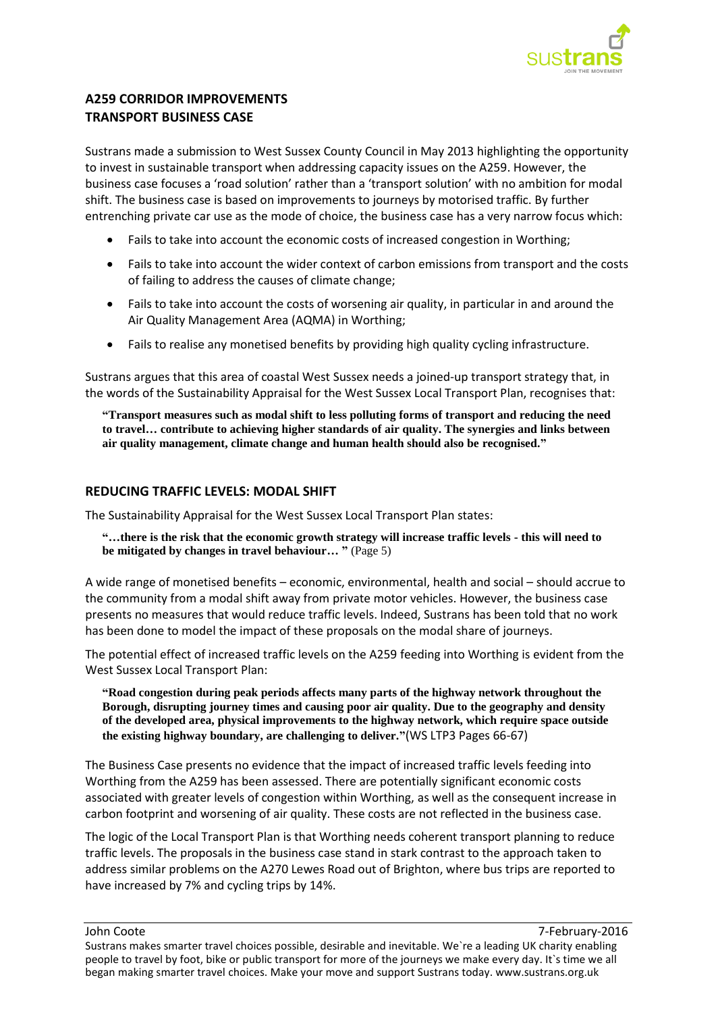

# **A259 CORRIDOR IMPROVEMENTS TRANSPORT BUSINESS CASE**

Sustrans made a submission to West Sussex County Council in May 2013 highlighting the opportunity to invest in sustainable transport when addressing capacity issues on the A259. However, the business case focuses a 'road solution' rather than a 'transport solution' with no ambition for modal shift. The business case is based on improvements to journeys by motorised traffic. By further entrenching private car use as the mode of choice, the business case has a very narrow focus which:

- Fails to take into account the economic costs of increased congestion in Worthing;
- Fails to take into account the wider context of carbon emissions from transport and the costs of failing to address the causes of climate change;
- Fails to take into account the costs of worsening air quality, in particular in and around the Air Quality Management Area (AQMA) in Worthing;
- Fails to realise any monetised benefits by providing high quality cycling infrastructure.

Sustrans argues that this area of coastal West Sussex needs a joined-up transport strategy that, in the words of the Sustainability Appraisal for the West Sussex Local Transport Plan, recognises that:

**"Transport measures such as modal shift to less polluting forms of transport and reducing the need to travel… contribute to achieving higher standards of air quality. The synergies and links between air quality management, climate change and human health should also be recognised."** 

## **REDUCING TRAFFIC LEVELS: MODAL SHIFT**

The Sustainability Appraisal for the West Sussex Local Transport Plan states:

**"…there is the risk that the economic growth strategy will increase traffic levels - this will need to be mitigated by changes in travel behaviour… "** (Page 5)

A wide range of monetised benefits – economic, environmental, health and social – should accrue to the community from a modal shift away from private motor vehicles. However, the business case presents no measures that would reduce traffic levels. Indeed, Sustrans has been told that no work has been done to model the impact of these proposals on the modal share of journeys.

The potential effect of increased traffic levels on the A259 feeding into Worthing is evident from the West Sussex Local Transport Plan:

**"Road congestion during peak periods affects many parts of the highway network throughout the Borough, disrupting journey times and causing poor air quality. Due to the geography and density of the developed area, physical improvements to the highway network, which require space outside the existing highway boundary, are challenging to deliver."**(WS LTP3 Pages 66-67)

The Business Case presents no evidence that the impact of increased traffic levels feeding into Worthing from the A259 has been assessed. There are potentially significant economic costs associated with greater levels of congestion within Worthing, as well as the consequent increase in carbon footprint and worsening of air quality. These costs are not reflected in the business case.

The logic of the Local Transport Plan is that Worthing needs coherent transport planning to reduce traffic levels. The proposals in the business case stand in stark contrast to the approach taken to address similar problems on the A270 Lewes Road out of Brighton, where bus trips are reported to have increased by 7% and cycling trips by 14%.

John Coote 7-February-2016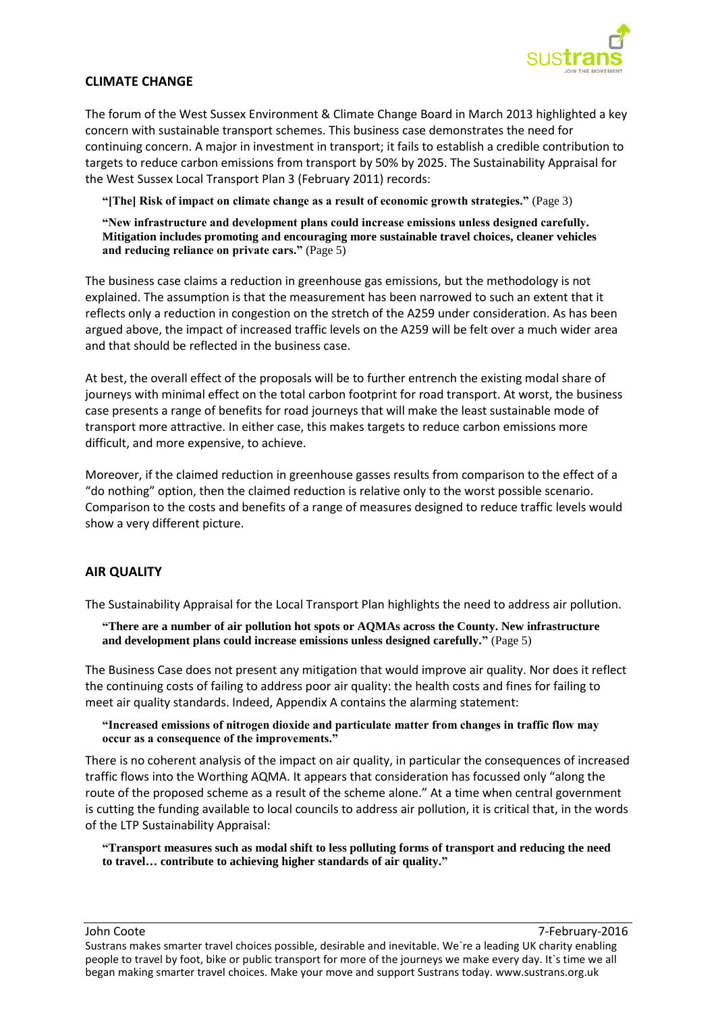

#### **CLIMATE CHANGE**

The forum of the West Sussex Environment & Climate Change Board in March 2013 highlighted a key concern with sustainable transport schemes. This business case demonstrates the need for continuing concern. A major in investment in transport; it fails to establish a credible contribution to targets to reduce carbon emissions from transport by 50% by 2025. The Sustainability Appraisal for the West Sussex Local Transport Plan 3 (February 2011) records:

**"[The] Risk of impact on climate change as a result of economic growth strategies."** (Page 3)

**"New infrastructure and development plans could increase emissions unless designed carefully. Mitigation includes promoting and encouraging more sustainable travel choices, cleaner vehicles and reducing reliance on private cars."** (Page 5)

The business case claims a reduction in greenhouse gas emissions, but the methodology is not explained. The assumption is that the measurement has been narrowed to such an extent that it reflects only a reduction in congestion on the stretch of the A259 under consideration. As has been argued above, the impact of increased traffic levels on the A259 will be felt over a much wider area and that should be reflected in the business case.

At best, the overall effect of the proposals will be to further entrench the existing modal share of journeys with minimal effect on the total carbon footprint for road transport. At worst, the business case presents a range of benefits for road journeys that will make the least sustainable mode of transport more attractive. In either case, this makes targets to reduce carbon emissions more difficult, and more expensive, to achieve.

Moreover, if the claimed reduction in greenhouse gasses results from comparison to the effect of a "do nothing" option, then the claimed reduction is relative only to the worst possible scenario. Comparison to the costs and benefits of a range of measures designed to reduce traffic levels would show a very different picture.

## **AIR QUALITY**

The Sustainability Appraisal for the Local Transport Plan highlights the need to address air pollution.

**"There are a number of air pollution hot spots or AQMAs across the County. New infrastructure and development plans could increase emissions unless designed carefully."** (Page 5)

The Business Case does not present any mitigation that would improve air quality. Nor does it reflect the continuing costs of failing to address poor air quality: the health costs and fines for failing to meet air quality standards. Indeed, Appendix A contains the alarming statement:

**"Increased emissions of nitrogen dioxide and particulate matter from changes in traffic flow may occur as a consequence of the improvements."**

There is no coherent analysis of the impact on air quality, in particular the consequences of increased traffic flows into the Worthing AQMA. It appears that consideration has focussed only "along the route of the proposed scheme as a result of the scheme alone." At a time when central government is cutting the funding available to local councils to address air pollution, it is critical that, in the words of the LTP Sustainability Appraisal:

**"Transport measures such as modal shift to less polluting forms of transport and reducing the need to travel… contribute to achieving higher standards of air quality."** 

John Coote 7-February-2016